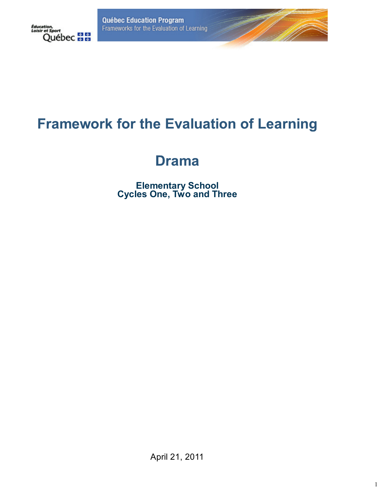**Québec Education Program** Frameworks for the Evaluation of Learning



# **Framework for the Evaluation of Learning**

# **Drama**

**Elementary School Cycles One, Two and Three**

April 21, 2011

1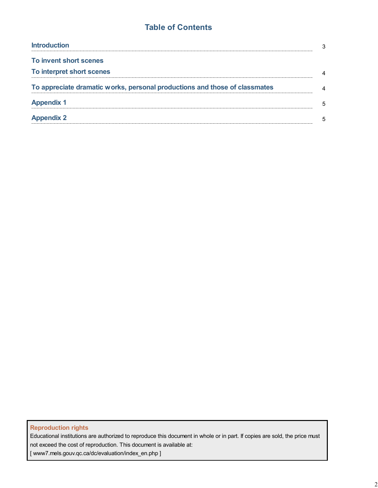## **Table of Contents**

| <b>Introduction</b>                                                        | 3 |
|----------------------------------------------------------------------------|---|
| To invent short scenes                                                     |   |
| To interpret short scenes                                                  | 4 |
| To appreciate dramatic works, personal productions and those of classmates | 4 |
| <b>Appendix 1</b>                                                          | 5 |
| <b>Appendix 2</b>                                                          | 5 |

### **Reproduction rights**

Educational institutions are authorized to reproduce this document in whole or in part. If copies are sold, the price must not exceed the cost of reproduction. This document is available at:

[ www7.mels.gouv.qc.ca/dc/evaluation/index\_en.php ]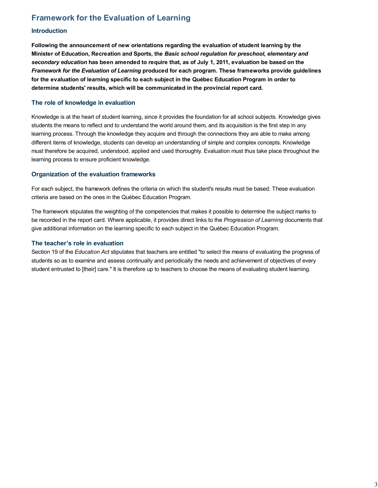# **Framework for the Evaluation of Learning**

#### **Introduction**

**Following the announcement of new orientations regarding the evaluation of student learning by the Minister of Education, Recreation and Sports, the** *Basic school regulation for preschool, elementary and secondary education* **has been amended to require that, as of July 1, 2011, evaluation be based on the** *Framework for the Evaluation of Learning* **produced for each program. These frameworks provide guidelines for the evaluation of learning specific to each subject in the Québec Education Program in order to determine students' results, which will be communicated in the provincial report card.**

#### **The role of knowledge in evaluation**

Knowledge is at the heart of student learning, since it provides the foundation for all school subjects. Knowledge gives students the means to reflect and to understand the world around them, and its acquisition is the first step in any learning process. Through the knowledge they acquire and through the connections they are able to make among different items of knowledge, students can develop an understanding of simple and complex concepts. Knowledge must therefore be acquired, understood, applied and used thoroughly. Evaluation must thus take place throughout the learning process to ensure proficient knowledge.

#### **Organization of the evaluation frameworks**

For each subject, the framework defines the criteria on which the student's results must be based. These evaluation criteria are based on the ones in the Québec Education Program.

The framework stipulates the weighting of the competencies that makes it possible to determine the subject marks to be recorded in the report card. Where applicable, it provides direct links to the *Progression of Learning* documents that give additional information on the learning specific to each subject in the Québec Education Program.

#### **The teacher's role in evaluation**

Section 19 of the *Education Act* stipulates that teachers are entitled "to select the means of evaluating the progress of students so as to examine and assess continually and periodically the needs and achievement of objectives of every student entrusted to [their] care." It is therefore up to teachers to choose the means of evaluating student learning.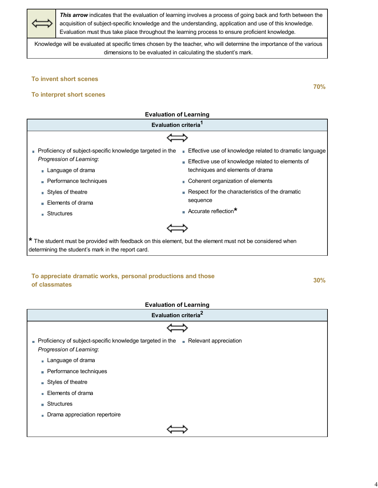*This arrow* indicates that the evaluation of learning involves a process of going back and forth between the acquisition of subject-specific knowledge and the understanding, application and use of this knowledge. Evaluation must thus take place throughout the learning process to ensure proficient knowledge*.*

Knowledge will be evaluated at specific times chosen by the teacher, who will determine the importance of the various dimensions to be evaluated in calculating the student's mark.

#### **To invent short scenes**



### **To appreciate dramatic works, personal productions and those of classmates 30%**

#### **Evaluation of Learning**